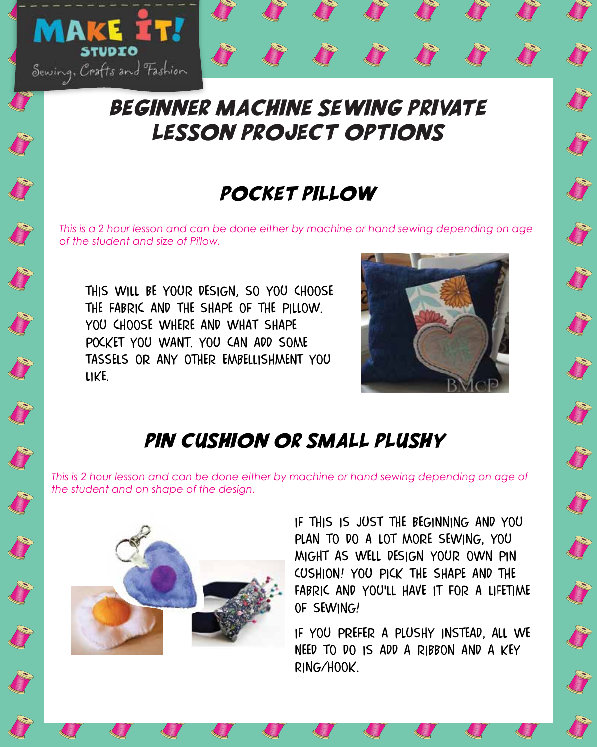

### pocket pillow

*This is a 2 hour lesson and can be done either by machine or hand sewing depending on age of the student and size of Pillow.*

this will be your design, so you choose the fabric and the shape of the pillow.

YOU CHOOSE WHERE AND WHAT SHAPE pocket you want. you can add some tassels or any other embellishment you

**Service** 

like.

Sewing, Crafts and Fashion STUDIO

**AKE** 





S

S

pin cushion or small plushy

*This is 2 hour lesson and can be done either by machine or hand sewing depending on age of the student and on shape of the design.*

> if this is just the beginning and you plan to do a lot more sewing, you might as well design your own pin cushion! you pick the shape and the fabric and you'll have it for a lifetime of sewing!

J

J

J

J

J

if you prefer a plushy instead, all we need to do is add a ribbon and a key ring/hook.



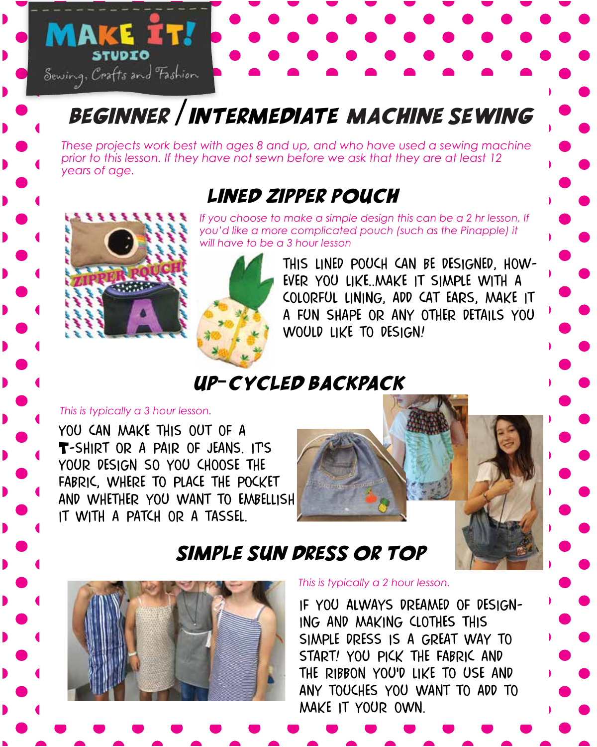# Beginner /intermediate machine sewing

*These projects work best with ages 8 and up, and who have used a sewing machine prior to this lesson. If they have not sewn before we ask that they are at least 12 years of age.*

### lined zipper pouch



Sewing, Crafts and Fashion STUDIO

**MAKE IT!** 

If you choose to make a simple design this can be a 2 hr lesson, If *you'd like a more complicated pouch (such as the Pinapple) it will have to be a 3 hour lesson*



this lined pouch can be designed, however you like..make it simple with a colorful lining, add cat ears, make it a fun shape or any other details you would like to design!

up-cycled backpack

#### *This is typically a 3 hour lesson.*

you can make this out of a T-SHIRT OR A PAIR OF JEANS. IT'S your design so you choose the fabric, where to place the pocket and whether you want to embellish it with a patch or a tassel.



#### simple sun dress or top



*This is typically a 2 hour lesson.* 

if you always dreamed of designing and making clothes this simple dress is a great way to start! you pick the fabric and the ribbon you'd like to use and any touches you want to add to make it your own.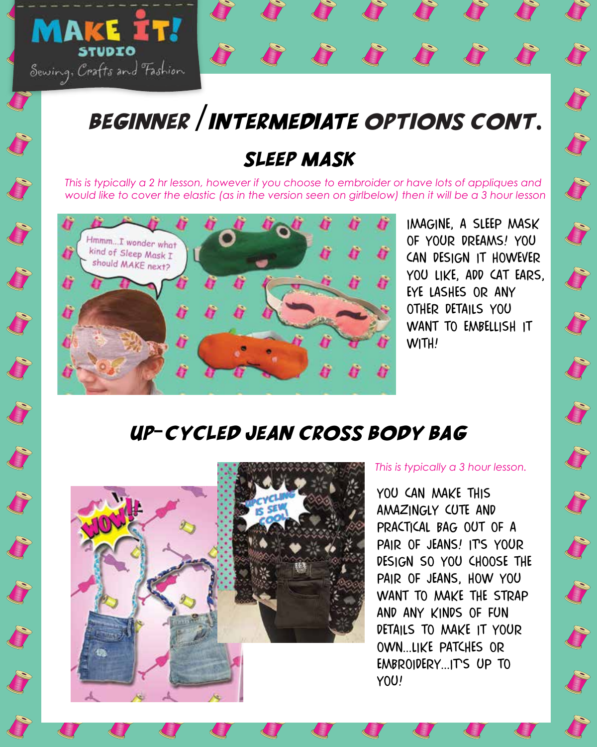

#### sleep mask

*This is typically a 2 hr lesson, however if you choose to embroider or have lots of appliques and would like to cover the elastic (as in the version seen on girlbelow) then it will be a 3 hour lesson*



Sewing, Crafts and Fashion

**MAKE IT!** 

imagine, a sleep mask of your dreams! you can design it however you like, add cat ears, eye lashes or any other details you want to embellish it WITH!

**Company** 

#### up-cycled jean cross body bag



*This is typically a 3 hour lesson.* 

you can make this amazingly cute and practical bag out of a PAIR OF JEANS! ITS YOUR design so you choose the pair of jeans, how you want to make the strap and any kinds of fun details to make it your own...like patches or EMBROIDERY...ITS UP TO you!